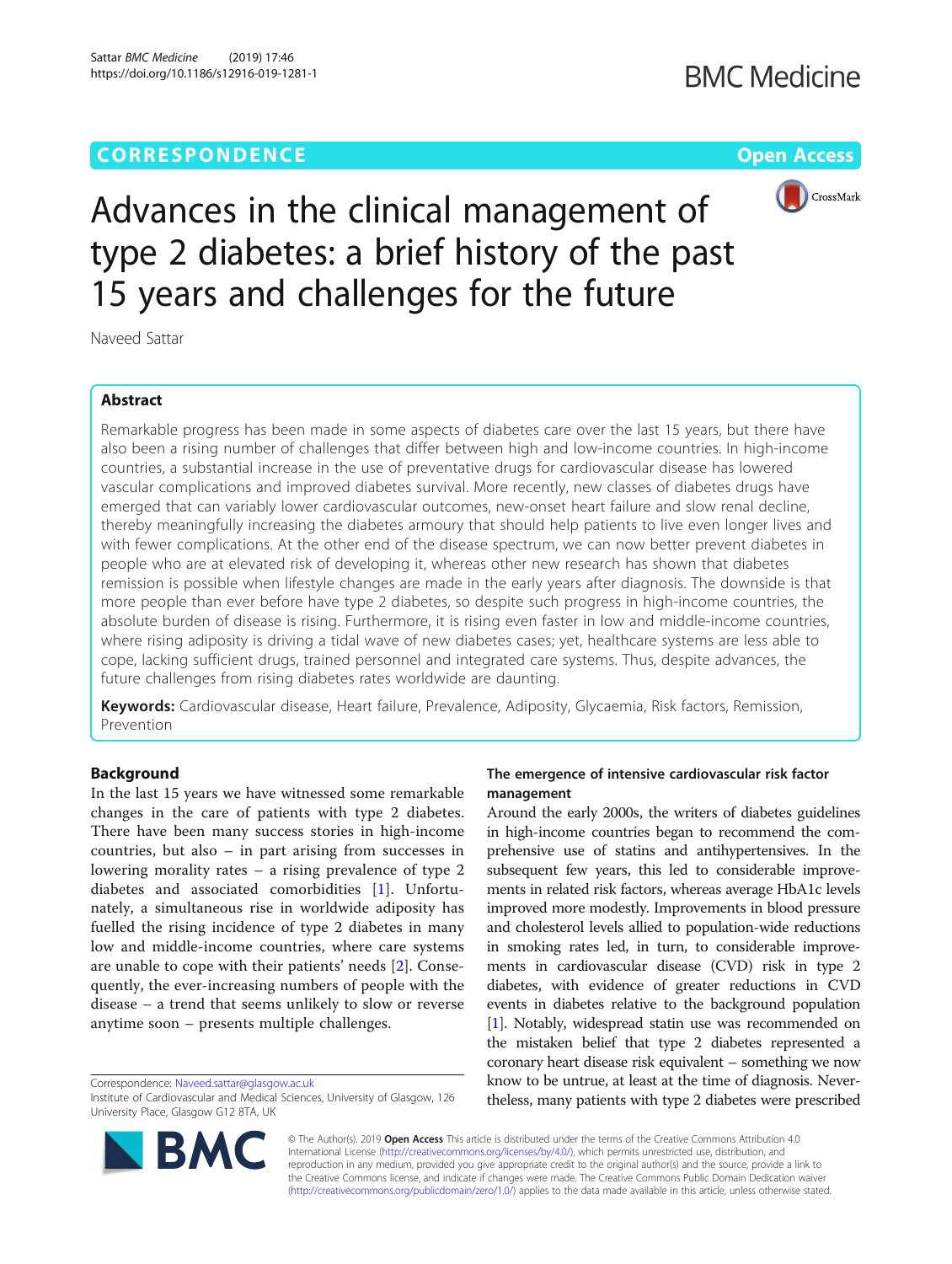# **CORRESPONDENCE CORRESPONDENCE** *CORRESPONDENCE*



Advances in the clinical management of type 2 diabetes: a brief history of the past 15 years and challenges for the future

Naveed Sattar

# Abstract

Remarkable progress has been made in some aspects of diabetes care over the last 15 years, but there have also been a rising number of challenges that differ between high and low-income countries. In high-income countries, a substantial increase in the use of preventative drugs for cardiovascular disease has lowered vascular complications and improved diabetes survival. More recently, new classes of diabetes drugs have emerged that can variably lower cardiovascular outcomes, new-onset heart failure and slow renal decline, thereby meaningfully increasing the diabetes armoury that should help patients to live even longer lives and with fewer complications. At the other end of the disease spectrum, we can now better prevent diabetes in people who are at elevated risk of developing it, whereas other new research has shown that diabetes remission is possible when lifestyle changes are made in the early years after diagnosis. The downside is that more people than ever before have type 2 diabetes, so despite such progress in high-income countries, the absolute burden of disease is rising. Furthermore, it is rising even faster in low and middle-income countries, where rising adiposity is driving a tidal wave of new diabetes cases; yet, healthcare systems are less able to cope, lacking sufficient drugs, trained personnel and integrated care systems. Thus, despite advances, the future challenges from rising diabetes rates worldwide are daunting.

Keywords: Cardiovascular disease, Heart failure, Prevalence, Adiposity, Glycaemia, Risk factors, Remission, Prevention

# Background

In the last 15 years we have witnessed some remarkable changes in the care of patients with type 2 diabetes. There have been many success stories in high-income countries, but also – in part arising from successes in lowering morality rates – a rising prevalence of type 2 diabetes and associated comorbidities [\[1](#page-2-0)]. Unfortunately, a simultaneous rise in worldwide adiposity has fuelled the rising incidence of type 2 diabetes in many low and middle-income countries, where care systems are unable to cope with their patients' needs [[2\]](#page-2-0). Consequently, the ever-increasing numbers of people with the disease – a trend that seems unlikely to slow or reverse anytime soon – presents multiple challenges.

Correspondence: [Naveed.sattar@glasgow.ac.uk](mailto:Naveed.sattar@glasgow.ac.uk)



Around the early 2000s, the writers of diabetes guidelines in high-income countries began to recommend the comprehensive use of statins and antihypertensives. In the subsequent few years, this led to considerable improvements in related risk factors, whereas average HbA1c levels improved more modestly. Improvements in blood pressure and cholesterol levels allied to population-wide reductions in smoking rates led, in turn, to considerable improvements in cardiovascular disease (CVD) risk in type 2 diabetes, with evidence of greater reductions in CVD events in diabetes relative to the background population [[1](#page-2-0)]. Notably, widespread statin use was recommended on the mistaken belief that type 2 diabetes represented a coronary heart disease risk equivalent – something we now know to be untrue, at least at the time of diagnosis. Nevertheless, many patients with type 2 diabetes were prescribed



© The Author(s). 2019 Open Access This article is distributed under the terms of the Creative Commons Attribution 4.0 International License [\(http://creativecommons.org/licenses/by/4.0/](http://creativecommons.org/licenses/by/4.0/)), which permits unrestricted use, distribution, and reproduction in any medium, provided you give appropriate credit to the original author(s) and the source, provide a link to the Creative Commons license, and indicate if changes were made. The Creative Commons Public Domain Dedication waiver [\(http://creativecommons.org/publicdomain/zero/1.0/](http://creativecommons.org/publicdomain/zero/1.0/)) applies to the data made available in this article, unless otherwise stated.

Institute of Cardiovascular and Medical Sciences, University of Glasgow, 126 University Place, Glasgow G12 8TA, UK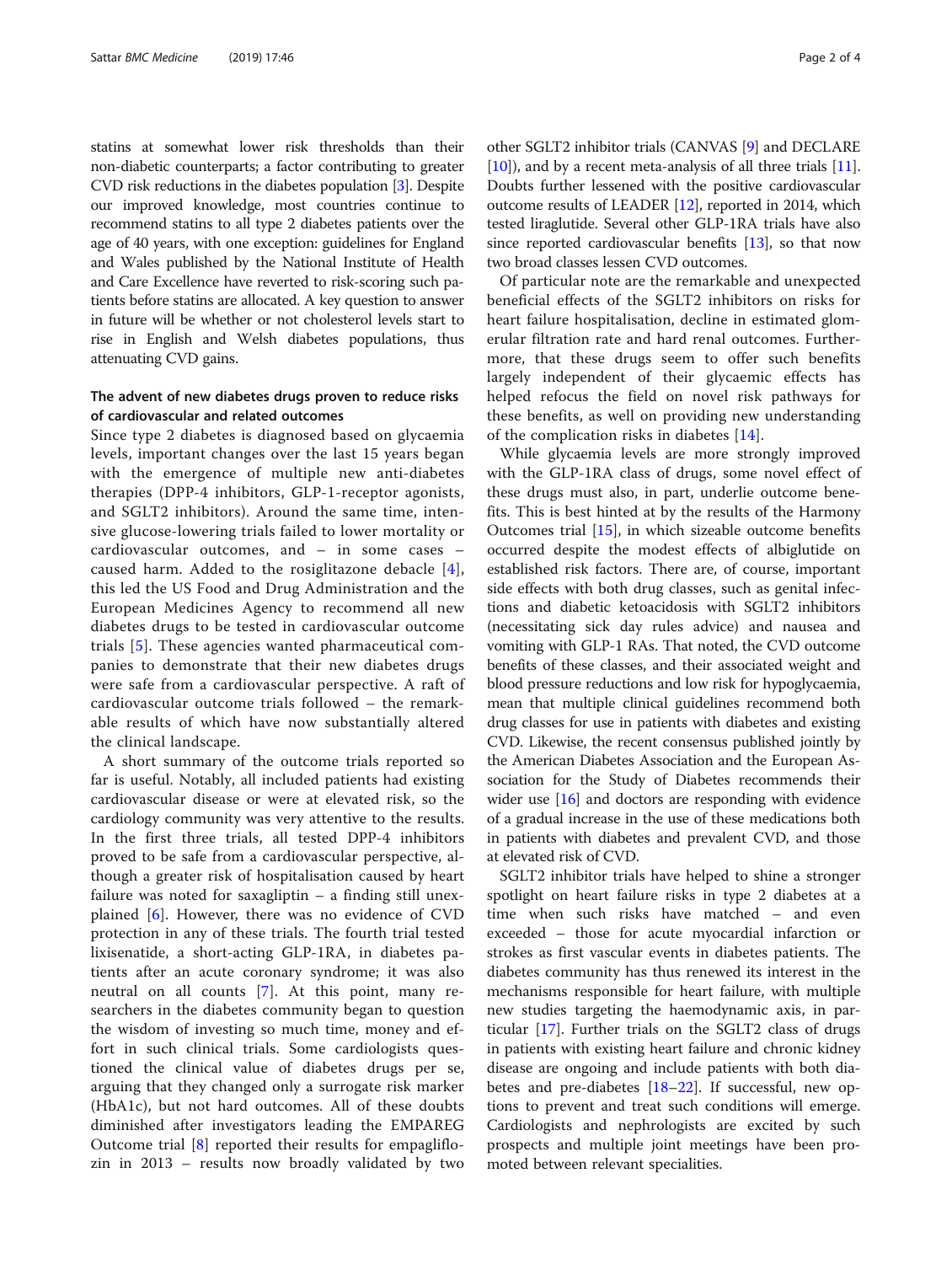statins at somewhat lower risk thresholds than their non-diabetic counterparts; a factor contributing to greater CVD risk reductions in the diabetes population [\[3](#page-2-0)]. Despite our improved knowledge, most countries continue to recommend statins to all type 2 diabetes patients over the age of 40 years, with one exception: guidelines for England and Wales published by the National Institute of Health and Care Excellence have reverted to risk-scoring such patients before statins are allocated. A key question to answer in future will be whether or not cholesterol levels start to rise in English and Welsh diabetes populations, thus attenuating CVD gains.

# The advent of new diabetes drugs proven to reduce risks of cardiovascular and related outcomes

Since type 2 diabetes is diagnosed based on glycaemia levels, important changes over the last 15 years began with the emergence of multiple new anti-diabetes therapies (DPP-4 inhibitors, GLP-1-receptor agonists, and SGLT2 inhibitors). Around the same time, intensive glucose-lowering trials failed to lower mortality or cardiovascular outcomes, and – in some cases – caused harm. Added to the rosiglitazone debacle [[4](#page-3-0)], this led the US Food and Drug Administration and the European Medicines Agency to recommend all new diabetes drugs to be tested in cardiovascular outcome trials [[5\]](#page-3-0). These agencies wanted pharmaceutical companies to demonstrate that their new diabetes drugs were safe from a cardiovascular perspective. A raft of cardiovascular outcome trials followed – the remarkable results of which have now substantially altered the clinical landscape.

A short summary of the outcome trials reported so far is useful. Notably, all included patients had existing cardiovascular disease or were at elevated risk, so the cardiology community was very attentive to the results. In the first three trials, all tested DPP-4 inhibitors proved to be safe from a cardiovascular perspective, although a greater risk of hospitalisation caused by heart failure was noted for saxagliptin – a finding still unexplained [\[6](#page-3-0)]. However, there was no evidence of CVD protection in any of these trials. The fourth trial tested lixisenatide, a short-acting GLP-1RA, in diabetes patients after an acute coronary syndrome; it was also neutral on all counts [[7\]](#page-3-0). At this point, many researchers in the diabetes community began to question the wisdom of investing so much time, money and effort in such clinical trials. Some cardiologists questioned the clinical value of diabetes drugs per se, arguing that they changed only a surrogate risk marker (HbA1c), but not hard outcomes. All of these doubts diminished after investigators leading the EMPAREG Outcome trial [[8\]](#page-3-0) reported their results for empagliflozin in 2013 – results now broadly validated by two

other SGLT2 inhibitor trials (CANVAS [\[9](#page-3-0)] and DECLARE [[10](#page-3-0)]), and by a recent meta-analysis of all three trials [[11](#page-3-0)]. Doubts further lessened with the positive cardiovascular outcome results of LEADER [[12](#page-3-0)], reported in 2014, which tested liraglutide. Several other GLP-1RA trials have also since reported cardiovascular benefits  $[13]$  $[13]$  $[13]$ , so that now two broad classes lessen CVD outcomes.

Of particular note are the remarkable and unexpected beneficial effects of the SGLT2 inhibitors on risks for heart failure hospitalisation, decline in estimated glomerular filtration rate and hard renal outcomes. Furthermore, that these drugs seem to offer such benefits largely independent of their glycaemic effects has helped refocus the field on novel risk pathways for these benefits, as well on providing new understanding of the complication risks in diabetes [[14\]](#page-3-0).

While glycaemia levels are more strongly improved with the GLP-1RA class of drugs, some novel effect of these drugs must also, in part, underlie outcome benefits. This is best hinted at by the results of the Harmony Outcomes trial [[15](#page-3-0)], in which sizeable outcome benefits occurred despite the modest effects of albiglutide on established risk factors. There are, of course, important side effects with both drug classes, such as genital infections and diabetic ketoacidosis with SGLT2 inhibitors (necessitating sick day rules advice) and nausea and vomiting with GLP-1 RAs. That noted, the CVD outcome benefits of these classes, and their associated weight and blood pressure reductions and low risk for hypoglycaemia, mean that multiple clinical guidelines recommend both drug classes for use in patients with diabetes and existing CVD. Likewise, the recent consensus published jointly by the American Diabetes Association and the European Association for the Study of Diabetes recommends their wider use [\[16](#page-3-0)] and doctors are responding with evidence of a gradual increase in the use of these medications both in patients with diabetes and prevalent CVD, and those at elevated risk of CVD.

SGLT2 inhibitor trials have helped to shine a stronger spotlight on heart failure risks in type 2 diabetes at a time when such risks have matched – and even exceeded – those for acute myocardial infarction or strokes as first vascular events in diabetes patients. The diabetes community has thus renewed its interest in the mechanisms responsible for heart failure, with multiple new studies targeting the haemodynamic axis, in particular [\[17\]](#page-3-0). Further trials on the SGLT2 class of drugs in patients with existing heart failure and chronic kidney disease are ongoing and include patients with both diabetes and pre-diabetes [\[18](#page-3-0)–[22](#page-3-0)]. If successful, new options to prevent and treat such conditions will emerge. Cardiologists and nephrologists are excited by such prospects and multiple joint meetings have been promoted between relevant specialities.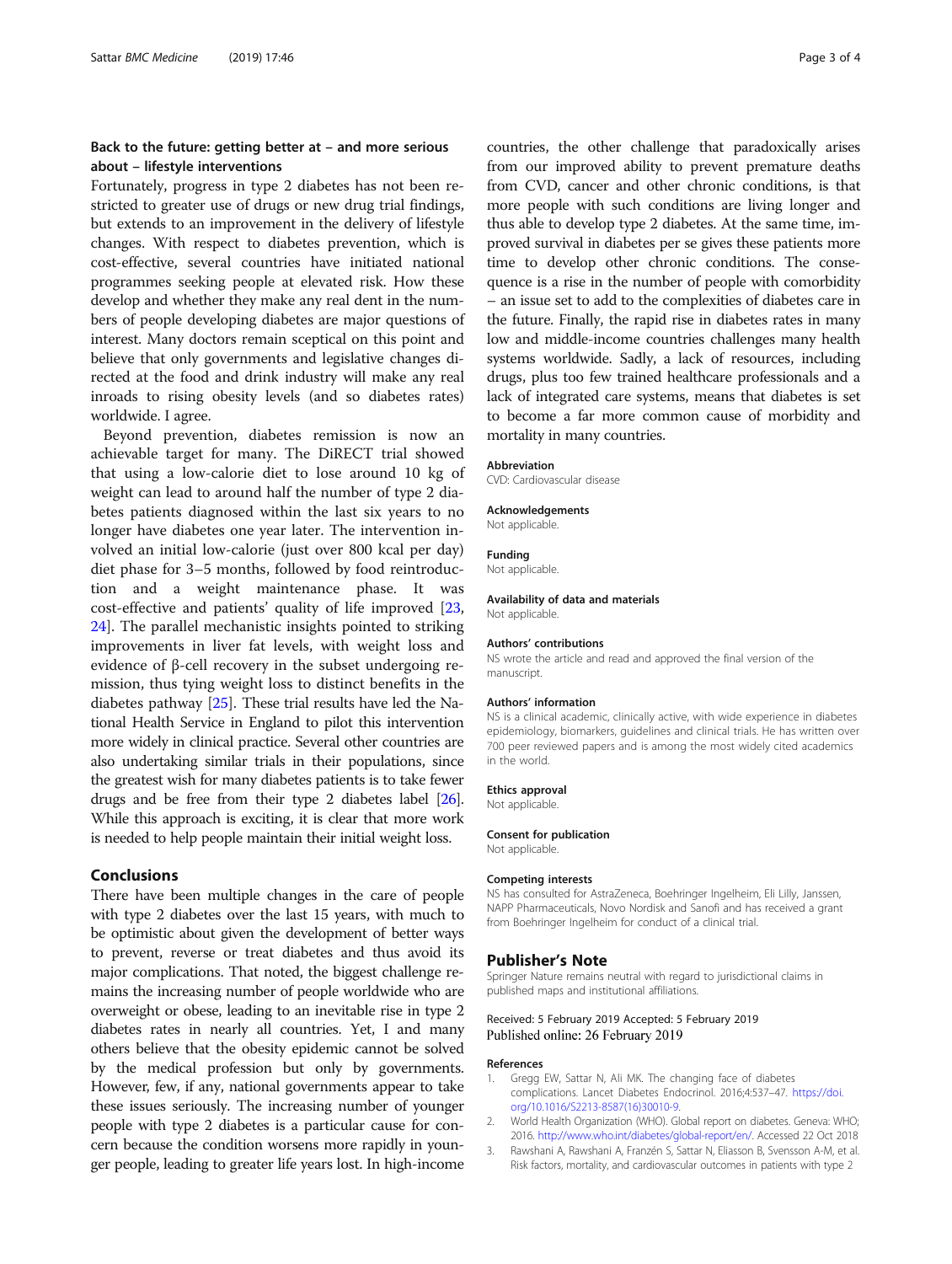# <span id="page-2-0"></span>Back to the future: getting better at – and more serious about – lifestyle interventions

Fortunately, progress in type 2 diabetes has not been restricted to greater use of drugs or new drug trial findings, but extends to an improvement in the delivery of lifestyle changes. With respect to diabetes prevention, which is cost-effective, several countries have initiated national programmes seeking people at elevated risk. How these develop and whether they make any real dent in the numbers of people developing diabetes are major questions of interest. Many doctors remain sceptical on this point and believe that only governments and legislative changes directed at the food and drink industry will make any real inroads to rising obesity levels (and so diabetes rates) worldwide. I agree.

Beyond prevention, diabetes remission is now an achievable target for many. The DiRECT trial showed that using a low-calorie diet to lose around 10 kg of weight can lead to around half the number of type 2 diabetes patients diagnosed within the last six years to no longer have diabetes one year later. The intervention involved an initial low-calorie (just over 800 kcal per day) diet phase for 3–5 months, followed by food reintroduction and a weight maintenance phase. It was cost-effective and patients' quality of life improved [[23](#page-3-0), [24\]](#page-3-0). The parallel mechanistic insights pointed to striking improvements in liver fat levels, with weight loss and evidence of β-cell recovery in the subset undergoing remission, thus tying weight loss to distinct benefits in the diabetes pathway [\[25\]](#page-3-0). These trial results have led the National Health Service in England to pilot this intervention more widely in clinical practice. Several other countries are also undertaking similar trials in their populations, since the greatest wish for many diabetes patients is to take fewer drugs and be free from their type 2 diabetes label [\[26](#page-3-0)]. While this approach is exciting, it is clear that more work is needed to help people maintain their initial weight loss.

#### Conclusions

There have been multiple changes in the care of people with type 2 diabetes over the last 15 years, with much to be optimistic about given the development of better ways to prevent, reverse or treat diabetes and thus avoid its major complications. That noted, the biggest challenge remains the increasing number of people worldwide who are overweight or obese, leading to an inevitable rise in type 2 diabetes rates in nearly all countries. Yet, I and many others believe that the obesity epidemic cannot be solved by the medical profession but only by governments. However, few, if any, national governments appear to take these issues seriously. The increasing number of younger people with type 2 diabetes is a particular cause for concern because the condition worsens more rapidly in younger people, leading to greater life years lost. In high-income countries, the other challenge that paradoxically arises from our improved ability to prevent premature deaths from CVD, cancer and other chronic conditions, is that more people with such conditions are living longer and thus able to develop type 2 diabetes. At the same time, improved survival in diabetes per se gives these patients more time to develop other chronic conditions. The consequence is a rise in the number of people with comorbidity – an issue set to add to the complexities of diabetes care in the future. Finally, the rapid rise in diabetes rates in many low and middle-income countries challenges many health systems worldwide. Sadly, a lack of resources, including drugs, plus too few trained healthcare professionals and a lack of integrated care systems, means that diabetes is set to become a far more common cause of morbidity and mortality in many countries.

#### Abbreviation

CVD: Cardiovascular disease

#### Acknowledgements

Not applicable.

# Funding

Not applicable.

#### Availability of data and materials

Not applicable.

#### Authors' contributions

NS wrote the article and read and approved the final version of the manuscript.

#### Authors' information

NS is a clinical academic, clinically active, with wide experience in diabetes epidemiology, biomarkers, guidelines and clinical trials. He has written over 700 peer reviewed papers and is among the most widely cited academics in the world.

#### Ethics approval

Not applicable.

### Consent for publication

Not applicable.

#### Competing interests

NS has consulted for AstraZeneca, Boehringer Ingelheim, Eli Lilly, Janssen, NAPP Pharmaceuticals, Novo Nordisk and Sanofi and has received a grant from Boehringer Ingelheim for conduct of a clinical trial.

#### Publisher's Note

Springer Nature remains neutral with regard to jurisdictional claims in published maps and institutional affiliations.

## Received: 5 February 2019 Accepted: 5 February 2019 Published online: 26 February 2019

#### References

- 1. Gregg EW, Sattar N, Ali MK. The changing face of diabetes complications. Lancet Diabetes Endocrinol. 2016;4:537–47. [https://doi.](https://doi.org/10.1016/S2213-8587(16)30010-9) [org/10.1016/S2213-8587\(16\)30010-9.](https://doi.org/10.1016/S2213-8587(16)30010-9)
- 2. World Health Organization (WHO). Global report on diabetes. Geneva: WHO; 2016. [http://www.who.int/diabetes/global-report/en/.](http://www.who.int/diabetes/global-report/en/) Accessed 22 Oct 2018
- 3. Rawshani A, Rawshani A, Franzén S, Sattar N, Eliasson B, Svensson A-M, et al. Risk factors, mortality, and cardiovascular outcomes in patients with type 2